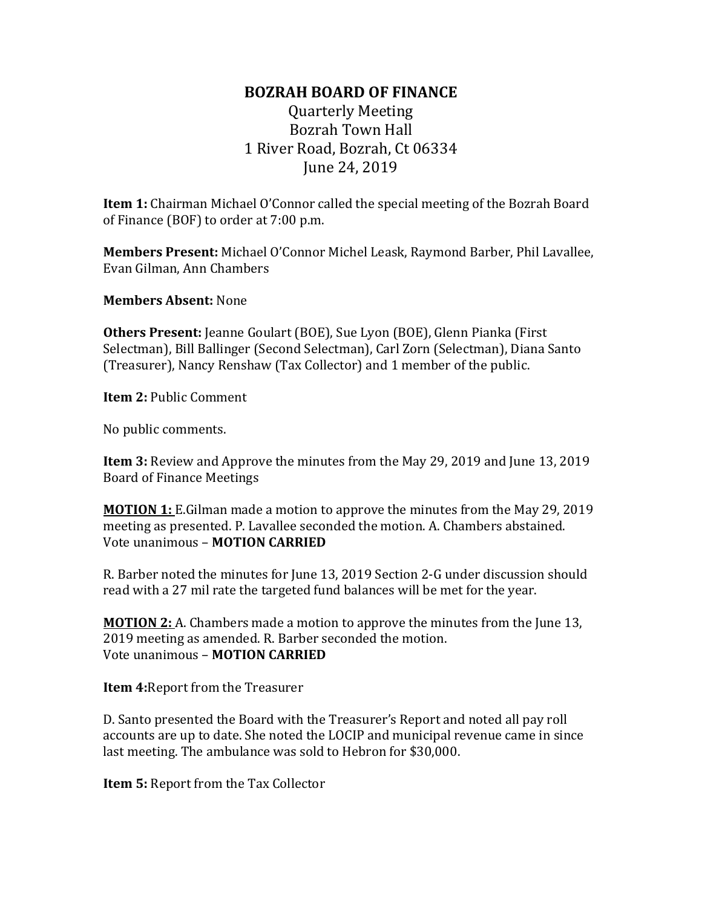## **BOZRAH BOARD OF FINANCE**

Quarterly Meeting Bozrah Town Hall 1 River Road, Bozrah, Ct 06334 June 24, 2019

**Item 1:** Chairman Michael O'Connor called the special meeting of the Bozrah Board of Finance (BOF) to order at 7:00 p.m.

**Members Present:** Michael O'Connor Michel Leask, Raymond Barber, Phil Lavallee, Evan Gilman, Ann Chambers

**Members Absent:** None

**Others Present:** Jeanne Goulart (BOE), Sue Lyon (BOE), Glenn Pianka (First Selectman), Bill Ballinger (Second Selectman), Carl Zorn (Selectman), Diana Santo (Treasurer), Nancy Renshaw (Tax Collector) and 1 member of the public.

**Item 2:** Public Comment

No public comments.

**Item 3:** Review and Approve the minutes from the May 29, 2019 and June 13, 2019 Board of Finance Meetings

**MOTION 1:** E.Gilman made a motion to approve the minutes from the May 29, 2019 meeting as presented. P. Lavallee seconded the motion. A. Chambers abstained. Vote unanimous – **MOTION CARRIED**

R. Barber noted the minutes for June 13, 2019 Section 2-G under discussion should read with a 27 mil rate the targeted fund balances will be met for the year.

**MOTION 2:** A. Chambers made a motion to approve the minutes from the June 13, 2019 meeting as amended. R. Barber seconded the motion. Vote unanimous – **MOTION CARRIED**

**Item 4:**Report from the Treasurer

D. Santo presented the Board with the Treasurer's Report and noted all pay roll accounts are up to date. She noted the LOCIP and municipal revenue came in since last meeting. The ambulance was sold to Hebron for \$30,000.

**Item 5:** Report from the Tax Collector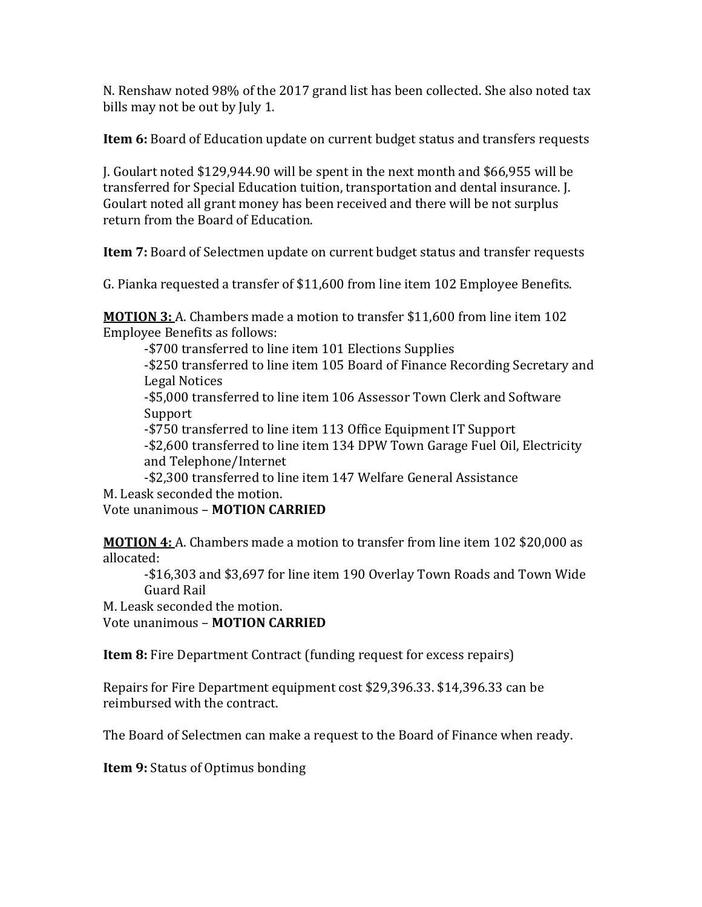N. Renshaw noted 98% of the 2017 grand list has been collected. She also noted tax bills may not be out by July 1.

**Item 6:** Board of Education update on current budget status and transfers requests

J. Goulart noted \$129,944.90 will be spent in the next month and \$66,955 will be transferred for Special Education tuition, transportation and dental insurance. J. Goulart noted all grant money has been received and there will be not surplus return from the Board of Education.

**Item 7:** Board of Selectmen update on current budget status and transfer requests

G. Pianka requested a transfer of \$11,600 from line item 102 Employee Benefits.

**MOTION 3:** A. Chambers made a motion to transfer \$11,600 from line item 102 Employee Benefits as follows:

-\$700 transferred to line item 101 Elections Supplies

-\$250 transferred to line item 105 Board of Finance Recording Secretary and Legal Notices

-\$5,000 transferred to line item 106 Assessor Town Clerk and Software Support

-\$750 transferred to line item 113 Office Equipment IT Support -\$2,600 transferred to line item 134 DPW Town Garage Fuel Oil, Electricity and Telephone/Internet

-\$2,300 transferred to line item 147 Welfare General Assistance M. Leask seconded the motion.

Vote unanimous – **MOTION CARRIED**

**MOTION 4:** A. Chambers made a motion to transfer from line item 102 \$20,000 as allocated:

-\$16,303 and \$3,697 for line item 190 Overlay Town Roads and Town Wide Guard Rail

M. Leask seconded the motion.

Vote unanimous – **MOTION CARRIED**

**Item 8:** Fire Department Contract (funding request for excess repairs)

Repairs for Fire Department equipment cost \$29,396.33. \$14,396.33 can be reimbursed with the contract.

The Board of Selectmen can make a request to the Board of Finance when ready.

**Item 9:** Status of Optimus bonding